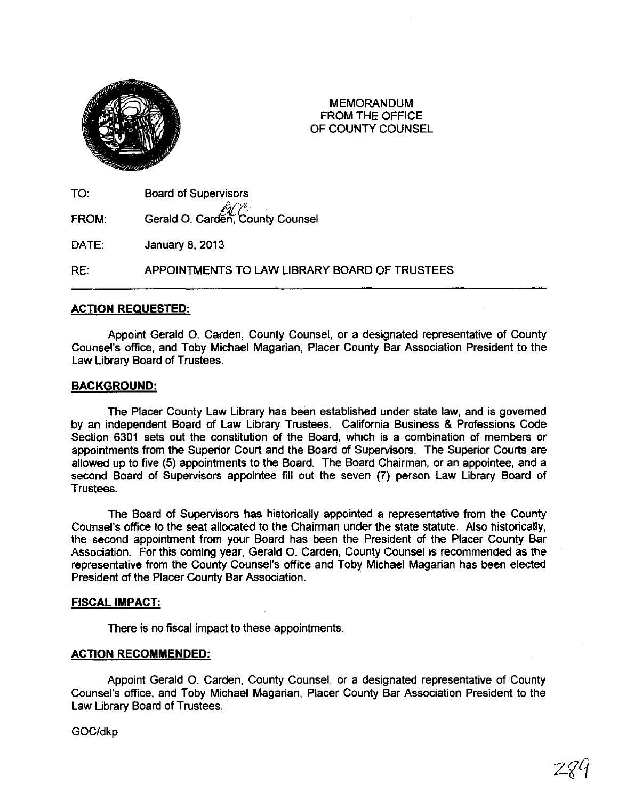

MEMORANDUM FROM THE OFFICE OF COUNTY COUNSEL

| TO:   | <b>Board of Supervisors</b>                   |
|-------|-----------------------------------------------|
| FROM: | Gerald O. Carden, County Counsel              |
| DATE: | January 8, 2013                               |
| RE:   | APPOINTMENTS TO LAW LIBRARY BOARD OF TRUSTEES |

# **ACTION REQUESTED:**

Appoint Gerald O. Carden, County Counsel, or a designated representative of County Counsel's office, and Toby Michael Magarian, Placer County Bar Association President to the Law Library Board of Trustees.

## **BACKGROUND:**

The Placer County Law Library has been established under state law, and is governed by an independent Board of Law Library Trustees. California Business & Professions Code Section 6301 sets out the constitution of the Board, which is a combination of members or appointments from the Superior Court and the Board of Supervisors. The Superior Courts are allowed up to five (5) appointments to the Board. The Board Chairman, or an appointee, and a second Board of Supervisors appointee fill out the seven (7) person Law Library Board of Trustees.

The Board of Supervisors has historically appointed a representative from the County Counsel's office to the seat allocated to the Chairman under the state statute. Also historically, the second appointment from your Board has been the President of the Placer County Bar Association. For this coming year, Gerald O. Carden, County Counsel is recommended as the representative from the County Counsel's office and Toby Michael Magarian has been elected President of the Placer County Bar Association.

### **FISCAL IMPACT:**

There is no fiscal impact to these appointments.

# **ACTION RECOMMENDED:**

Appoint Gerald O. Carden, County Counsel, or a designated representative of County Counsel's office, and Toby Michael Magarian, Placer County Bar Association President to the Law Library Board of Trustees.

### GOC/dkp